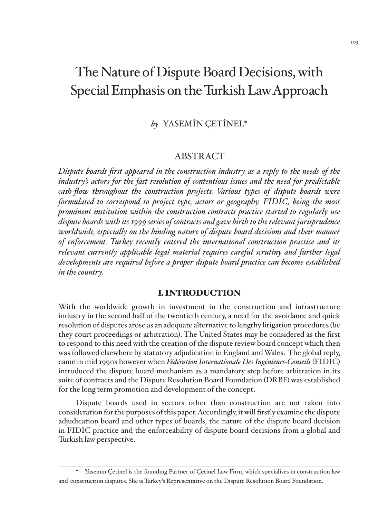# The Nature of Dispute Board Decisions, with Special Emphasis on the Turkish Law Approach

# *bby* YASEMİN ÇETİNEL\*

# ABSTRACT

*Dispute boards first appeared in the construction industry as a reply to the needs of the industry's actors for the fast resolution of contentious issues and the need for predictable cash-flow throughout the construction projects. Various types of dispute boards were formulated to correspond to project type, actors or geography. FIDIC, being the most prominent institution within the construction contracts practice started to regularly use dispute boards with its 1999 series of contracts and gave birth to the relevant jurisprudence worldwide, especially on the binding nature of dispute board decisions and their manner of enforcement. Turkey recently entered the international construction practice and its relevant currently applicable legal material requires careful scrutiny and further legal developments are required before a proper dispute board practice can become established in the country.*

## I. INTRODUCTION

With the worldwide growth in investment in the construction and infrastructure industry in the second half of the twentieth century, a need for the avoidance and quick resolution of disputes arose as an adequate alternative to lengthy litigation procedures (be they court proceedings or arbitration). The United States may be considered as the first to respond to this need with the creation of the dispute review board concept which then was followed elsewhere by statutory adjudication in England and Wales. The global reply, came in mid 1990s however when *Fédération Internationale Des Ingénieurs-Conseils* (FIDIC) introduced the dispute board mechanism as a mandatory step before arbitration in its suite of contracts and the Dispute Resolution Board Foundation (DRBF) was established for the long term promotion and development of the concept.

Dispute boards used in sectors other than construction are not taken into consideration for the purposes of this paper. Accordingly, it will firstly examine the dispute adjudication board and other types of boards, the nature of the dispute board decision in FIDIC practice and the enforceability of dispute board decisions from a global and Turkish law perspective.

<sup>\*</sup> Yasemin Çetinel is the founding Partner of Çetinel Law Firm, which specialises in construction law and construction disputes. She is Turkey's Representative on the Dispute Resolution Board Foundation.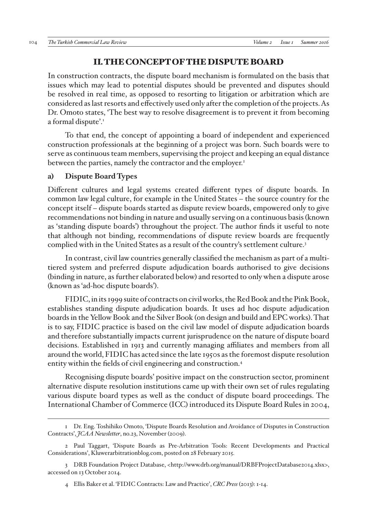## II. THE CONCEPT OF THE DISPUTE BOARD

In construction contracts, the dispute board mechanism is formulated on the basis that issues which may lead to potential disputes should be prevented and disputes should be resolved in real time, as opposed to resorting to litigation or arbitration which are considered as last resorts and effectively used only after the completion of the projects. As Dr. Omoto states, 'The best way to resolve disagreement is to prevent it from becoming a formal dispute'.<sup>1</sup>

To that end, the concept of appointing a board of independent and experienced construction professionals at the beginning of a project was born. Such boards were to serve as continuous team members, supervising the project and keeping an equal distance between the parties, namely the contractor and the employer.<sup>2</sup>

## **a) Dispute Board Types**

Different cultures and legal systems created different types of dispute boards. In common law legal culture, for example in the United States – the source country for the concept itself – dispute boards started as dispute review boards, empowered only to give recommendations not binding in nature and usually serving on a continuous basis (known as 'standing dispute boards') throughout the project. The author finds it useful to note that although not binding, recommendations of dispute review boards are frequently complied with in the United States as a result of the country's settlement culture.3

In contrast, civil law countries generally classified the mechanism as part of a multitiered system and preferred dispute adjudication boards authorised to give decisions (binding in nature, as further elaborated below) and resorted to only when a dispute arose (known as 'ad-hoc dispute boards').

FIDIC, in its 1999 suite of contracts on civil works, the Red Book and the Pink Book, establishes standing dispute adjudication boards. It uses ad hoc dispute adjudication boards in the Yellow Book and the Silver Book (on design and build and EPC works). That is to say, FIDIC practice is based on the civil law model of dispute adjudication boards and therefore substantially impacts current jurisprudence on the nature of dispute board decisions. Established in 1913 and currently managing affiliates and members from all around the world, FIDIC has acted since the late 1950s as the foremost dispute resolution entity within the fields of civil engineering and construction.4

Recognising dispute boards' positive impact on the construction sector, prominent alternative dispute resolution institutions came up with their own set of rules regulating various dispute board types as well as the conduct of dispute board proceedings. The International Chamber of Commerce (ICC) introduced its Dispute Board Rules in 2004,

<sup>1</sup> Dr. Eng. Toshihiko Omoto, 'Dispute Boards Resolution and Avoidance of Disputes in Construction Contracts', *JCAA Newsletter*, no.23, November (2009).

<sup>2</sup> Paul Taggart, 'Dispute Boards as Pre-Arbitration Tools: Recent Developments and Practical Considerations', Kluwerarbitrationblog.com, posted on 28 February 2015.

<sup>3</sup> DRB Foundation Project Database, <http://www.drb.org/manual/DRBFProjectDatabase2014.xlsx>, accessed on 13 October 2014.

<sup>4</sup> Ellis Baker et al. 'FIDIC Contracts: Law and Practice', *CRC Press* (2013): 1-14.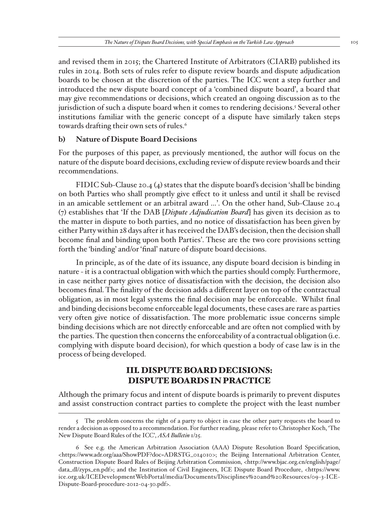and revised them in 2015; the Chartered Institute of Arbitrators (CIARB) published its rules in 2014. Both sets of rules refer to dispute review boards and dispute adjudication boards to be chosen at the discretion of the parties. The ICC went a step further and introduced the new dispute board concept of a 'combined dispute board', a board that may give recommendations or decisions, which created an ongoing discussion as to the jurisdiction of such a dispute board when it comes to rendering decisions.<sup>5</sup> Several other institutions familiar with the generic concept of a dispute have similarly taken steps towards drafting their own sets of rules.<sup>6</sup>

#### **b) Nature of Dispute Board Decisions**

For the purposes of this paper, as previously mentioned, the author will focus on the nature of the dispute board decisions, excluding review of dispute review boards and their recommendations.

FIDIC Sub-Clause 20.4 (4) states that the dispute board's decision 'shall be binding on both Parties who shall promptly give effect to it unless and until it shall be revised in an amicable settlement or an arbitral award …'. On the other hand, Sub-Clause 20.4 (7) establishes that 'If the DAB [*Dispute Adjudication Board*] has given its decision as to the matter in dispute to both parties, and no notice of dissatisfaction has been given by either Party within 28 days after it has received the DAB's decision, then the decision shall become final and binding upon both Parties'. These are the two core provisions setting forth the 'binding' and/or 'final' nature of dispute board decisions.

In principle, as of the date of its issuance, any dispute board decision is binding in nature - it is a contractual obligation with which the parties should comply. Furthermore, in case neither party gives notice of dissatisfaction with the decision, the decision also becomes final. The finality of the decision adds a different layer on top of the contractual obligation, as in most legal systems the final decision may be enforceable. Whilst final and binding decisions become enforceable legal documents, these cases are rare as parties very often give notice of dissatisfaction. The more problematic issue concerns simple binding decisions which are not directly enforceable and are often not complied with by the parties. The question then concerns the enforceability of a contractual obligation (i.e. complying with dispute board decision), for which question a body of case law is in the process of being developed.

# III. DISPUTE BOARD DECISIONS: DISPUTE BOARDS IN PRACTICE

Although the primary focus and intent of dispute boards is primarily to prevent disputes and assist construction contract parties to complete the project with the least number

<sup>5</sup> The problem concerns the right of a party to object in case the other party requests the board to render a decision as opposed to a recommendation. For further reading, please refer to Christopher Koch, 'The New Dispute Board Rules of the ICC', *ASA Bulletin* 1/25.

<sup>6</sup> See e.g. the American Arbitration Association (AAA) Dispute Resolution Board Specification, <https://www.adr.org/aaa/ShowPDF?doc=ADRSTG\_014010>; the Beijing International Arbitration Center, Construction Dispute Board Rules of Beijing Arbitration Commission, <http://www.bjac.org.cn/english/page/ data\_dl/zyps\_en.pdf>; and the Institution of Civil Engineers, ICE Dispute Board Procedure, <https://www. ice.org.uk/ICEDevelopmentWebPortal/media/Documents/Disciplines%20and%20Resources/09-3-ICE-Dispute-Board-procedure-2012-04-30.pdf>.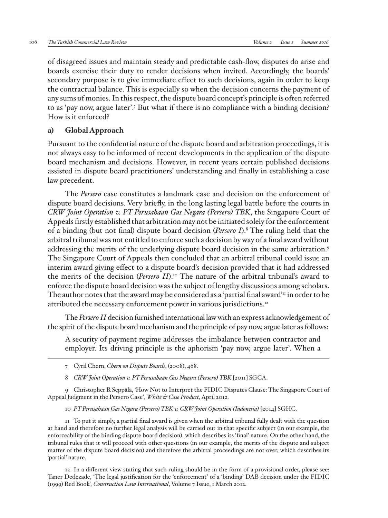of disagreed issues and maintain steady and predictable cash-flow, disputes do arise and boards exercise their duty to render decisions when invited. Accordingly, the boards' secondary purpose is to give immediate effect to such decisions, again in order to keep the contractual balance. This is especially so when the decision concerns the payment of any sums of monies. In this respect, the dispute board concept's principle is often referred to as 'pay now, argue later'.<sup>7</sup> But what if there is no compliance with a binding decision? How is it enforced?

## **a) Global Approach**

Pursuant to the confidential nature of the dispute board and arbitration proceedings, it is not always easy to be informed of recent developments in the application of the dispute board mechanism and decisions. However, in recent years certain published decisions assisted in dispute board practitioners' understanding and finally in establishing a case law precedent.

The *Persero* case constitutes a landmark case and decision on the enforcement of dispute board decisions. Very briefly, in the long lasting legal battle before the courts in *CRW Joint Operation v. PT Perusahaan Gas Negara (Persero) TBK*, the Singapore Court of Appeals firstly established that arbitration may not be initiated solely for the enforcement of a binding (but not final) dispute board decision (*Persero I*).8 The ruling held that the arbitral tribunal was not entitled to enforce such a decision by way of a final award without addressing the merits of the underlying dispute board decision in the same arbitration.<sup>9</sup> The Singapore Court of Appeals then concluded that an arbitral tribunal could issue an interim award giving effect to a dispute board's decision provided that it had addressed the merits of the decision (*Persero II*).<sup>10</sup> The nature of the arbitral tribunal's award to enforce the dispute board decision was the subject of lengthy discussions among scholars. The author notes that the award may be considered as a 'partial final award'<sup>11</sup> in order to be attributed the necessary enforcement power in various jurisdictions.<sup>12</sup>

The *Persero II* decision furnished international law with an express acknowledgement of the spirit of the dispute board mechanism and the principle of pay now, argue later as follows:

A security of payment regime addresses the imbalance between contractor and employer. Its driving principle is the aphorism 'pay now, argue later'. When a

9 Christopher R Seppälä, 'How Not to Interpret the FIDIC Disputes Clause: The Singapore Court of Appeal Judgment in the Persero Case', *White & Case Product*, April 2012.

10 *PT Perusahaan Gas Negara (Persero) TBK v. CRW Joint Operation (Indonesia)* [2014] SGHC.

11 To put it simply, a partial final award is given when the arbitral tribunal fully dealt with the question at hand and therefore no further legal analysis will be carried out in that specific subject (in our example, the enforceability of the binding dispute board decision), which describes its 'final' nature. On the other hand, the tribunal rules that it will proceed with other questions (in our example, the merits of the dispute and subject matter of the dispute board decision) and therefore the arbitral proceedings are not over, which describes its 'partial' nature.

12 In a different view stating that such ruling should be in the form of a provisional order, please see: Taner Dedezade, 'The legal justification for the 'enforcement' of a 'binding' DAB decision under the FIDIC (1999) Red Book*', Construction Law International*, Volume 7 Issue, 1 March 2012.

<sup>7</sup> Cyril Chern, *Chern on Dispute Boards*, (2008), 468.

<sup>8</sup> *CRW Joint Operation v. PT Perusahaan Gas Negara (Persero) TBK* [2011] SGCA.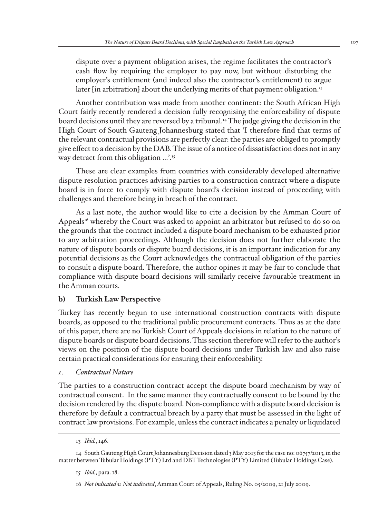dispute over a payment obligation arises, the regime facilitates the contractor's cash flow by requiring the employer to pay now, but without disturbing the employer's entitlement (and indeed also the contractor's entitlement) to argue later [in arbitration] about the underlying merits of that payment obligation.<sup>13</sup>

Another contribution was made from another continent: the South African High Court fairly recently rendered a decision fully recognising the enforceability of dispute board decisions until they are reversed by a tribunal.14 The judge giving the decision in the High Court of South Gauteng Johannesburg stated that 'I therefore find that terms of the relevant contractual provisions are perfectly clear: the parties are obliged to promptly give effect to a decision by the DAB. The issue of a notice of dissatisfaction does not in any way detract from this obligation ...'.<sup>15</sup>

These are clear examples from countries with considerably developed alternative dispute resolution practices advising parties to a construction contract where a dispute board is in force to comply with dispute board's decision instead of proceeding with challenges and therefore being in breach of the contract.

As a last note, the author would like to cite a decision by the Amman Court of Appeals<sup>16</sup> whereby the Court was asked to appoint an arbitrator but refused to do so on the grounds that the contract included a dispute board mechanism to be exhausted prior to any arbitration proceedings. Although the decision does not further elaborate the nature of dispute boards or dispute board decisions, it is an important indication for any potential decisions as the Court acknowledges the contractual obligation of the parties to consult a dispute board. Therefore, the author opines it may be fair to conclude that compliance with dispute board decisions will similarly receive favourable treatment in the Amman courts.

## **b) Turkish Law Perspective**

Turkey has recently begun to use international construction contracts with dispute boards, as opposed to the traditional public procurement contracts. Thus as at the date of this paper, there are no Turkish Court of Appeals decisions in relation to the nature of dispute boards or dispute board decisions. This section therefore will refer to the author's views on the position of the dispute board decisions under Turkish law and also raise certain practical considerations for ensuring their enforceability.

## *1. Contractual Nature*

The parties to a construction contract accept the dispute board mechanism by way of contractual consent. In the same manner they contractually consent to be bound by the decision rendered by the dispute board. Non-compliance with a dispute board decision is therefore by default a contractual breach by a party that must be assessed in the light of contract law provisions. For example, unless the contract indicates a penalty or liquidated

<sup>13</sup> *Ibid.*, 146.

<sup>14</sup> South Gauteng High Court Johannesburg Decision dated 3 May 2013 for the case no: 06757/2013, in the matter between Tubular Holdings (PTY) Ltd and DBT Technologies (PTY) Limited (Tubular Holdings Case).

<sup>15</sup> *Ibid.*, para. 18.

<sup>16</sup> *Not indicated v. Not indicated*, Amman Court of Appeals, Ruling No. 05/2009, 21 July 2009.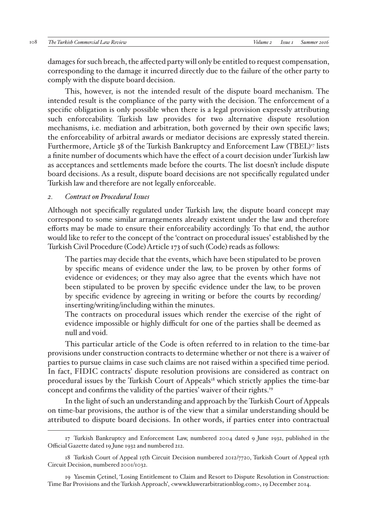damages for such breach, the affected party will only be entitled to request compensation, corresponding to the damage it incurred directly due to the failure of the other party to comply with the dispute board decision.

This, however, is not the intended result of the dispute board mechanism. The intended result is the compliance of the party with the decision. The enforcement of a specific obligation is only possible when there is a legal provision expressly attributing such enforceability. Turkish law provides for two alternative dispute resolution mechanisms, i.e. mediation and arbitration, both governed by their own specific laws; the enforceability of arbitral awards or mediator decisions are expressly stated therein. Furthermore, Article 38 of the Turkish Bankruptcy and Enforcement Law (TBEL)<sup>17</sup> lists a finite number of documents which have the effect of a court decision under Turkish law as acceptances and settlements made before the courts. The list doesn't include dispute board decisions. As a result, dispute board decisions are not specifically regulated under Turkish law and therefore are not legally enforceable.

#### *2. Contract on Procedural Issues*

Although not specifically regulated under Turkish law, the dispute board concept may correspond to some similar arrangements already existent under the law and therefore efforts may be made to ensure their enforceability accordingly. To that end, the author would like to refer to the concept of the 'contract on procedural issues' established by the Turkish Civil Procedure (Code) Article 173 of such (Code) reads as follows:

The parties may decide that the events, which have been stipulated to be proven by specific means of evidence under the law, to be proven by other forms of evidence or evidences; or they may also agree that the events which have not been stipulated to be proven by specific evidence under the law, to be proven by specific evidence by agreeing in writing or before the courts by recording/ inserting/writing/including within the minutes.

The contracts on procedural issues which render the exercise of the right of evidence impossible or highly difficult for one of the parties shall be deemed as null and void.

This particular article of the Code is often referred to in relation to the time-bar provisions under construction contracts to determine whether or not there is a waiver of parties to pursue claims in case such claims are not raised within a specified time period. In fact, FIDIC contracts' dispute resolution provisions are considered as contract on procedural issues by the Turkish Court of Appeals<sup>18</sup> which strictly applies the time-bar concept and confirms the validity of the parties' waiver of their rights.19

In the light of such an understanding and approach by the Turkish Court of Appeals on time-bar provisions, the author is of the view that a similar understanding should be attributed to dispute board decisions. In other words, if parties enter into contractual

<sup>17</sup> Turkish Bankruptcy and Enforcement Law, numbered 2004 dated 9 June 1932, published in the Official Gazette dated 19 June 1932 and numbered 212.

<sup>18</sup> Turkish Court of Appeal 15th Circuit Decision numbered 2012/7720, Turkish Court of Appeal 15th Circuit Decision, numbered 2001/1032.

<sup>19</sup> Yasemin Çetinel, 'Losing Entitlement to Claim and Resort to Dispute Resolution in Construction: Time Bar Provisions and the Turkish Approach', <www.kluwerarbitrationblog.com>, 19 December 2014.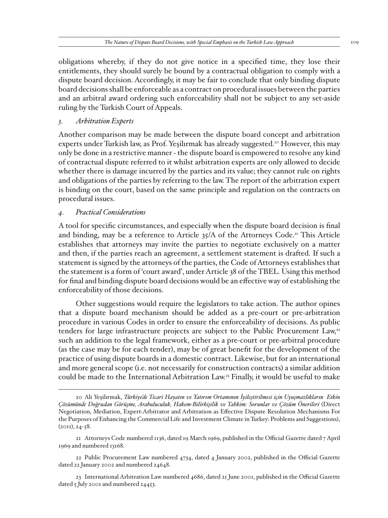obligations whereby, if they do not give notice in a specified time, they lose their entitlements, they should surely be bound by a contractual obligation to comply with a dispute board decision. Accordingly, it may be fair to conclude that only binding dispute board decisions shall be enforceable as a contract on procedural issues between the parties and an arbitral award ordering such enforceability shall not be subject to any set-aside ruling by the Turkish Court of Appeals.

## *3. Arbitration Experts*

Another comparison may be made between the dispute board concept and arbitration experts under Turkish law, as Prof. Yeşilırmak has already suggested.20 However, this may only be done in a restrictive manner - the dispute board is empowered to resolve any kind of contractual dispute referred to it whilst arbitration experts are only allowed to decide whether there is damage incurred by the parties and its value; they cannot rule on rights and obligations of the parties by referring to the law. The report of the arbitration expert is binding on the court, based on the same principle and regulation on the contracts on procedural issues.

## *4. Practical Considerations*

A tool for specific circumstances, and especially when the dispute board decision is final and binding, may be a reference to Article  $35/A$  of the Attorneys Code.<sup>21</sup> This Article establishes that attorneys may invite the parties to negotiate exclusively on a matter and then, if the parties reach an agreement, a settlement statement is drafted. If such a statement is signed by the attorneys of the parties, the Code of Attorneys establishes that the statement is a form of 'court award', under Article 38 of the TBEL. Using this method for final and binding dispute board decisions would be an effective way of establishing the enforceability of those decisions.

Other suggestions would require the legislators to take action. The author opines that a dispute board mechanism should be added as a pre-court or pre-arbitration procedure in various Codes in order to ensure the enforceability of decisions. As public tenders for large infrastructure projects are subject to the Public Procurement Law,<sup>22</sup> such an addition to the legal framework, either as a pre-court or pre-arbitral procedure (as the case may be for each tender), may be of great benefit for the development of the practice of using dispute boards in a domestic contract. Likewise, but for an international and more general scope (i.e. not necessarily for construction contracts) a similar addition could be made to the International Arbitration Law.23 Finally, it would be useful to make

21 Attorneys Code numbered 1136, dated 19 March 1969, published in the Official Gazette dated 7 April 1969 and numbered 13168.

22 Public Procurement Law numbered 4734, dated 4 January 2002, published in the Official Gazette dated 22 January 2002 and numbered 24648.

23 International Arbitration Law numbered 4686, dated 21 June 2001, published in the Official Gazette dated 5 July 2001 and numbered 24453.

<sup>20</sup> Ali Yeşilırmak, *Türkiye'de Ticari Hayatın ve Yatırım Ortamının İyileştirilmesi için Uyuşmazlıkların Etkin Çözümünde Doğrudan Görüşme, Arabuluculuk, Hakem-Bilirkişilik ve Tahkim: Sorunlar ve Çözüm Önerileri* (Direct Negotiation, Mediation, Expert-Arbitrator and Arbitration as Effective Dispute Resolution Mechanisms For the Purposes of Enhancing the Commercial Life and Investment Climate in Turkey: Problems and Suggestions), (2011), 24-58.